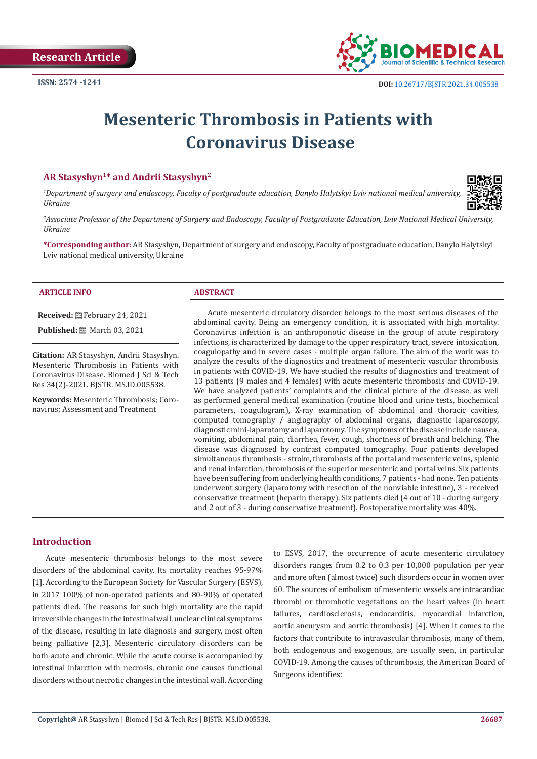

# **Mesenteric Thrombosis in Patients with Coronavirus Disease**

# **AR Stasyshyn1\* and Andrii Stasyshyn2**

*1 Department of surgery and endoscopy, Faculty of postgraduate education, Danylo Halytskyi Lviv national medical university, Ukraine*



*2 Associate Professor of the Department of Surgery and Endoscopy, Faculty of Postgraduate Education, Lviv National Medical University, Ukraine*

**\*Corresponding author:** AR Stasyshyn, Department of surgery and endoscopy, Faculty of postgraduate education, Danylo Halytskyi Lviv national medical university, Ukraine

## **ARTICLE INFO ABSTRACT**

**Received:** February 24, 2021

**Published:** ■ March 03, 2021

**Citation:** AR Stasyshyn, Andrii Stasyshyn. Mesenteric Thrombosis in Patients with Coronavirus Disease. Biomed J Sci & Tech Res 34(2)-2021. BJSTR. MS.ID.005538.

**Keywords:** Mesenteric Thrombosis; Coronavirus; Assessment and Treatment

Acute mesenteric circulatory disorder belongs to the most serious diseases of the abdominal cavity. Being an emergency condition, it is associated with high mortality. Coronavirus infection is an anthroponotic disease in the group of acute respiratory infections, is characterized by damage to the upper respiratory tract, severe intoxication, coagulopathy and in severe cases - multiple organ failure. The aim of the work was to analyze the results of the diagnostics and treatment of mesenteric vascular thrombosis in patients with COVID-19. We have studied the results of diagnostics and treatment of 13 patients (9 males and 4 females) with acute mesenteric thrombosis and COVID-19. We have analyzed patients' complaints and the clinical picture of the disease, as well as performed general medical examination (routine blood and urine tests, biochemical parameters, coagulogram), X-ray examination of abdominal and thoracic cavities, computed tomography / angiography of abdominal organs, diagnostic laparoscopy, diagnostic mini-laparotomy and laparotomy. The symptoms of the disease include nausea, vomiting, abdominal pain, diarrhea, fever, cough, shortness of breath and belching. The disease was diagnosed by contrast computed tomography. Four patients developed simultaneous thrombosis - stroke, thrombosis of the portal and mesenteric veins, splenic and renal infarction, thrombosis of the superior mesenteric and portal veins. Six patients have been suffering from underlying health conditions, 7 patients - had none. Ten patients underwent surgery (laparotomy with resection of the nonviable intestine), 3 - received conservative treatment (heparin therapy). Six patients died (4 out of 10 - during surgery and 2 out of 3 - during conservative treatment). Postoperative mortality was 40%.

# **Introduction**

Acute mesenteric thrombosis belongs to the most severe disorders of the abdominal cavity. Its mortality reaches 95-97% [1]. According to the European Society for Vascular Surgery (ESVS), in 2017 100% of non-operated patients and 80-90% of operated patients died. The reasons for such high mortality are the rapid irreversible changes in the intestinal wall, unclear clinical symptoms of the disease, resulting in late diagnosis and surgery, most often being palliative [2,3]. Mesenteric circulatory disorders can be both acute and chronic. While the acute course is accompanied by intestinal infarction with necrosis, chronic one causes functional disorders without necrotic changes in the intestinal wall. According to ESVS, 2017, the occurrence of acute mesenteric circulatory disorders ranges from 0.2 to 0.3 per 10,000 population per year and more often (almost twice) such disorders occur in women over 60. The sources of embolism of mesenteric vessels are intracardiac thrombi or thrombotic vegetations on the heart valves (in heart failures, cardiosclerosis, endocarditis, myocardial infarction, aortic aneurysm and aortic thrombosis) [4]. When it comes to the factors that contribute to intravascular thrombosis, many of them, both endogenous and exogenous, are usually seen, in particular COVID-19. Among the causes of thrombosis, the American Board of Surgeons identifies: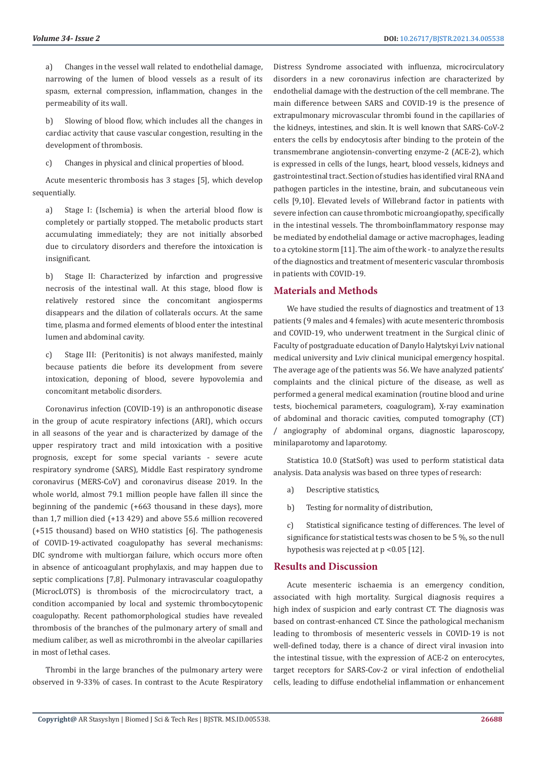a) Changes in the vessel wall related to endothelial damage, narrowing of the lumen of blood vessels as a result of its spasm, external compression, inflammation, changes in the permeability of its wall.

b) Slowing of blood flow, which includes all the changes in cardiac activity that cause vascular congestion, resulting in the development of thrombosis.

c) Changes in physical and clinical properties of blood.

Acute mesenteric thrombosis has 3 stages [5], which develop sequentially.

a) Stage I: (Ischemia) is when the arterial blood flow is completely or partially stopped. The metabolic products start accumulating immediately; they are not initially absorbed due to circulatory disorders and therefore the intoxication is insignificant.

b) Stage II: Characterized by infarction and progressive necrosis of the intestinal wall. At this stage, blood flow is relatively restored since the concomitant angiosperms disappears and the dilation of collaterals occurs. At the same time, plasma and formed elements of blood enter the intestinal lumen and abdominal cavity.

c) Stage III: (Peritonitis) is not always manifested, mainly because patients die before its development from severe intoxication, deponing of blood, severe hypovolemia and concomitant metabolic disorders.

Coronavirus infection (COVID-19) is an anthroponotic disease in the group of acute respiratory infections (ARI), which occurs in all seasons of the year and is characterized by damage of the upper respiratory tract and mild intoxication with a positive prognosis, except for some special variants - severe acute respiratory syndrome (SARS), Middle East respiratory syndrome coronavirus (MERS-CoV) and coronavirus disease 2019. In the whole world, almost 79.1 million people have fallen ill since the beginning of the pandemic (+663 thousand in these days), more than 1,7 million died (+13 429) and above 55.6 million recovered (+515 thousand) based on WHO statistics [6]. The pathogenesis of COVID-19-activated coagulopathy has several mechanisms: DIC syndrome with multiorgan failure, which occurs more often in absence of anticoagulant prophylaxis, and may happen due to septic complications [7,8]. Pulmonary intravascular coagulopathy (MicrocLOTS) is thrombosis of the microcirculatory tract, a condition accompanied by local and systemic thrombocytopenic coagulopathy. Recent pathomorphological studies have revealed thrombosis of the branches of the pulmonary artery of small and medium caliber, as well as microthrombi in the alveolar capillaries in most of lethal cases.

Thrombi in the large branches of the pulmonary artery were observed in 9-33% of cases. In contrast to the Acute Respiratory Distress Syndrome associated with influenza, microcirculatory disorders in a new coronavirus infection are characterized by endothelial damage with the destruction of the cell membrane. The main difference between SARS and COVID-19 is the presence of extrapulmonary microvascular thrombi found in the capillaries of the kidneys, intestines, and skin. It is well known that SARS-CoV-2 enters the cells by endocytosis after binding to the protein of the transmembrane angiotensin-converting enzyme-2 (ACE-2), which is expressed in cells of the lungs, heart, blood vessels, kidneys and gastrointestinal tract. Section of studies has identified viral RNA and pathogen particles in the intestine, brain, and subcutaneous vein cells [9,10]. Elevated levels of Willebrand factor in patients with severe infection can cause thrombotic microangiopathy, specifically in the intestinal vessels. The thromboinflammatory response may be mediated by endothelial damage or active macrophages, leading to a cytokine storm [11]. The aim of the work - to analyze the results of the diagnostics and treatment of mesenteric vascular thrombosis in patients with COVID-19.

# **Materials and Methods**

We have studied the results of diagnostics and treatment of 13 patients (9 males and 4 females) with acute mesenteric thrombosis and COVID-19, who underwent treatment in the Surgical clinic of Faculty of postgraduate education of Danylo Halytskyi Lviv national medical university and Lviv clinical municipal emergency hospital. The average age of the patients was 56. We have analyzed patients' complaints and the clinical picture of the disease, as well as performed a general medical examination (routine blood and urine tests, biochemical parameters, coagulogram), X-ray examination of abdominal and thoracic cavities, computed tomography (CT) / angiography of abdominal organs, diagnostic laparoscopy, minilaparotomy and laparotomy.

Statistica 10.0 (StatSoft) was used to perform statistical data analysis. Data analysis was based on three types of research:

- a) Descriptive statistics,
- b) Testing for normality of distribution,

c) Statistical significance testing of differences. The level of significance for statistical tests was chosen to be 5 %, so the null hypothesis was rejected at  $p < 0.05$  [12].

## **Results and Discussion**

Acute mesenteric ischaemia is an emergency condition, associated with high mortality. Surgical diagnosis requires a high index of suspicion and early contrast CT. The diagnosis was based on contrast-enhanced CT. Since the pathological mechanism leading to thrombosis of mesenteric vessels in COVID-19 is not well-defined today, there is a chance of direct viral invasion into the intestinal tissue, with the expression of ACE-2 on enterocytes, target receptors for SARS-Cov-2 or viral infection of endothelial cells, leading to diffuse endothelial inflammation or enhancement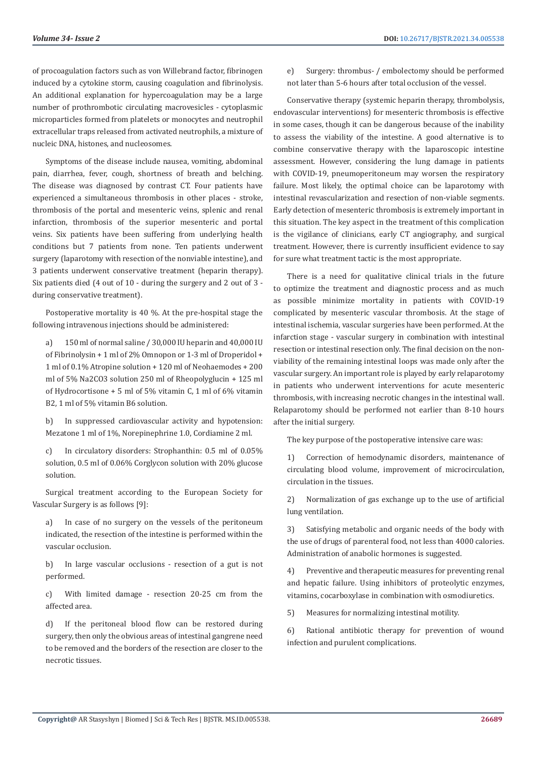of procoagulation factors such as von Willebrand factor, fibrinogen induced by a cytokine storm, causing coagulation and fibrinolysis. An additional explanation for hypercoagulation may be a large number of prothrombotic circulating macrovesicles - cytoplasmic microparticles formed from platelets or monocytes and neutrophil extracellular traps released from activated neutrophils, a mixture of nucleic DNA, histones, and nucleosomes.

Symptoms of the disease include nausea, vomiting, abdominal pain, diarrhea, fever, cough, shortness of breath and belching. The disease was diagnosed by contrast CT. Four patients have experienced a simultaneous thrombosis in other places - stroke, thrombosis of the portal and mesenteric veins, splenic and renal infarction, thrombosis of the superior mesenteric and portal veins. Six patients have been suffering from underlying health conditions but 7 patients from none. Ten patients underwent surgery (laparotomy with resection of the nonviable intestine), and 3 patients underwent conservative treatment (heparin therapy). Six patients died (4 out of 10 - during the surgery and 2 out of 3 during conservative treatment).

Postoperative mortality is 40 %. At the pre-hospital stage the following intravenous injections should be administered:

a) 150 ml of normal saline / 30,000 IU heparin and 40,000 IU of Fibrinolysin + 1 ml of 2% Omnopon or 1-3 ml of Droperidol + 1 ml of 0.1% Atropine solution + 120 ml of Neohaemodes + 200 ml of 5% Na2CO3 solution 250 ml of Rheopolyglucin + 125 ml of Hydrocortisone + 5 ml of 5% vitamin C, 1 ml of 6% vitamin B2, 1 ml of 5% vitamin B6 solution.

b) In suppressed cardiovascular activity and hypotension: Mezatone 1 ml of 1%, Norepinephrine 1.0, Cordiamine 2 ml.

c) In circulatory disorders: Strophanthin: 0.5 ml of 0.05% solution, 0.5 ml of 0.06% Corglycon solution with 20% glucose solution.

Surgical treatment according to the European Society for Vascular Surgery is as follows [9]:

a) In case of no surgery on the vessels of the peritoneum indicated, the resection of the intestine is performed within the vascular occlusion.

b) In large vascular occlusions - resection of a gut is not performed.

c) With limited damage - resection 20-25 cm from the affected area.

d) If the peritoneal blood flow can be restored during surgery, then only the obvious areas of intestinal gangrene need to be removed and the borders of the resection are closer to the necrotic tissues.

e) Surgery: thrombus- / embolectomy should be performed not later than 5-6 hours after total occlusion of the vessel.

Conservative therapy (systemic heparin therapy, thrombolysis, endovascular interventions) for mesenteric thrombosis is effective in some cases, though it can be dangerous because of the inability to assess the viability of the intestine. A good alternative is to combine conservative therapy with the laparoscopic intestine assessment. However, considering the lung damage in patients with COVID-19, pneumoperitoneum may worsen the respiratory failure. Most likely, the optimal choice can be laparotomy with intestinal revascularization and resection of non-viable segments. Early detection of mesenteric thrombosis is extremely important in this situation. The key aspect in the treatment of this complication is the vigilance of clinicians, early CT angiography, and surgical treatment. However, there is currently insufficient evidence to say for sure what treatment tactic is the most appropriate.

There is a need for qualitative clinical trials in the future to optimize the treatment and diagnostic process and as much as possible minimize mortality in patients with COVID-19 complicated by mesenteric vascular thrombosis. At the stage of intestinal ischemia, vascular surgeries have been performed. At the infarction stage - vascular surgery in combination with intestinal resection or intestinal resection only. The final decision on the nonviability of the remaining intestinal loops was made only after the vascular surgery. An important role is played by early relaparotomy in patients who underwent interventions for acute mesenteric thrombosis, with increasing necrotic changes in the intestinal wall. Relaparotomy should be performed not earlier than 8-10 hours after the initial surgery.

The key purpose of the postoperative intensive care was:

1) Correction of hemodynamic disorders, maintenance of circulating blood volume, improvement of microcirculation, circulation in the tissues.

2) Normalization of gas exchange up to the use of artificial lung ventilation.

3) Satisfying metabolic and organic needs of the body with the use of drugs of parenteral food, not less than 4000 calories. Administration of anabolic hormones is suggested.

4) Preventive and therapeutic measures for preventing renal and hepatic failure. Using inhibitors of proteolytic enzymes, vitamins, cocarboxylase in combination with osmodiuretics.

5) Measures for normalizing intestinal motility.

6) Rational antibiotic therapy for prevention of wound infection and purulent complications.